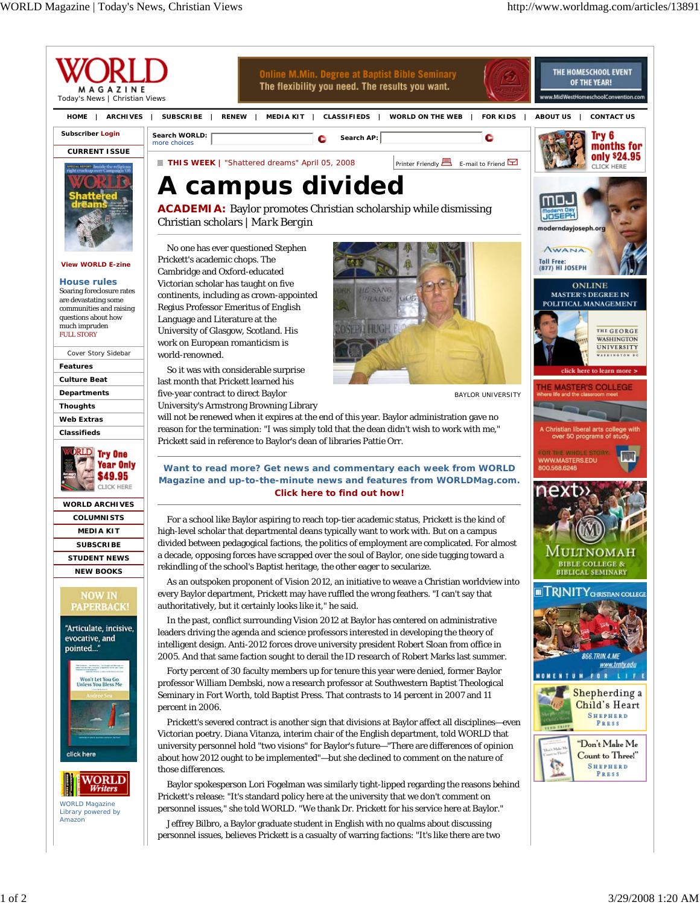